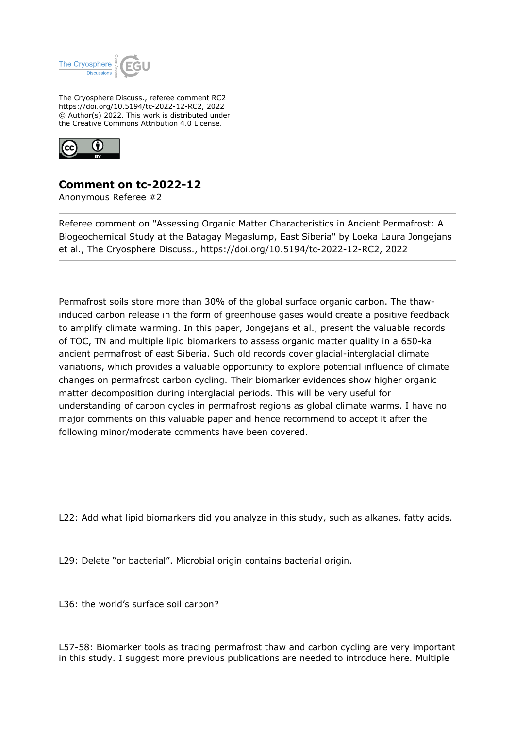

The Cryosphere Discuss., referee comment RC2 https://doi.org/10.5194/tc-2022-12-RC2, 2022 © Author(s) 2022. This work is distributed under the Creative Commons Attribution 4.0 License.



## **Comment on tc-2022-12**

Anonymous Referee #2

Referee comment on "Assessing Organic Matter Characteristics in Ancient Permafrost: A Biogeochemical Study at the Batagay Megaslump, East Siberia" by Loeka Laura Jongejans et al., The Cryosphere Discuss., https://doi.org/10.5194/tc-2022-12-RC2, 2022

Permafrost soils store more than 30% of the global surface organic carbon. The thawinduced carbon release in the form of greenhouse gases would create a positive feedback to amplify climate warming. In this paper, Jongejans et al., present the valuable records of TOC, TN and multiple lipid biomarkers to assess organic matter quality in a 650-ka ancient permafrost of east Siberia. Such old records cover glacial-interglacial climate variations, which provides a valuable opportunity to explore potential influence of climate changes on permafrost carbon cycling. Their biomarker evidences show higher organic matter decomposition during interglacial periods. This will be very useful for understanding of carbon cycles in permafrost regions as global climate warms. I have no major comments on this valuable paper and hence recommend to accept it after the following minor/moderate comments have been covered.

L22: Add what lipid biomarkers did you analyze in this study, such as alkanes, fatty acids.

L29: Delete "or bacterial". Microbial origin contains bacterial origin.

L36: the world's surface soil carbon?

L57-58: Biomarker tools as tracing permafrost thaw and carbon cycling are very important in this study. I suggest more previous publications are needed to introduce here. Multiple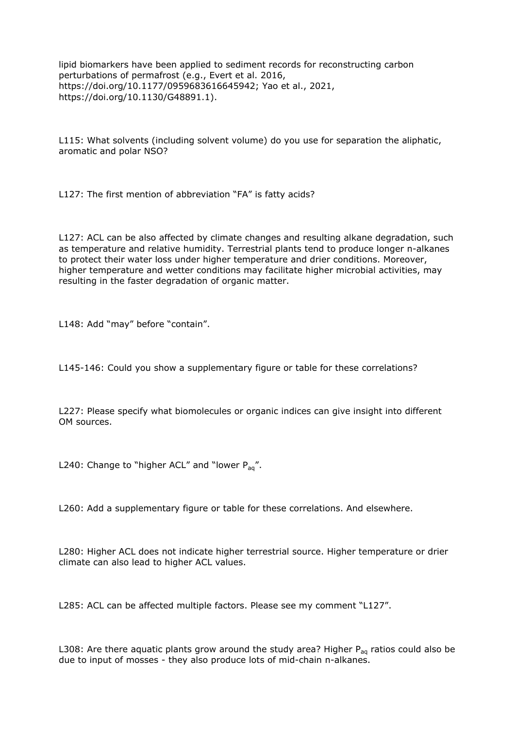lipid biomarkers have been applied to sediment records for reconstructing carbon perturbations of permafrost (e.g., Evert et al. 2016, https://doi.org/10.1177/0959683616645942; Yao et al., 2021, https://doi.org/10.1130/G48891.1).

L115: What solvents (including solvent volume) do you use for separation the aliphatic, aromatic and polar NSO?

L127: The first mention of abbreviation "FA" is fatty acids?

L127: ACL can be also affected by climate changes and resulting alkane degradation, such as temperature and relative humidity. Terrestrial plants tend to produce longer n-alkanes to protect their water loss under higher temperature and drier conditions. Moreover, higher temperature and wetter conditions may facilitate higher microbial activities, may resulting in the faster degradation of organic matter.

L148: Add "may" before "contain".

L145-146: Could you show a supplementary figure or table for these correlations?

L227: Please specify what biomolecules or organic indices can give insight into different OM sources.

L240: Change to "higher ACL" and "lower  $P_{aa}$ ".

L260: Add a supplementary figure or table for these correlations. And elsewhere.

L280: Higher ACL does not indicate higher terrestrial source. Higher temperature or drier climate can also lead to higher ACL values.

L285: ACL can be affected multiple factors. Please see my comment "L127".

L308: Are there aquatic plants grow around the study area? Higher  $P_{aa}$  ratios could also be due to input of mosses - they also produce lots of mid-chain n-alkanes.